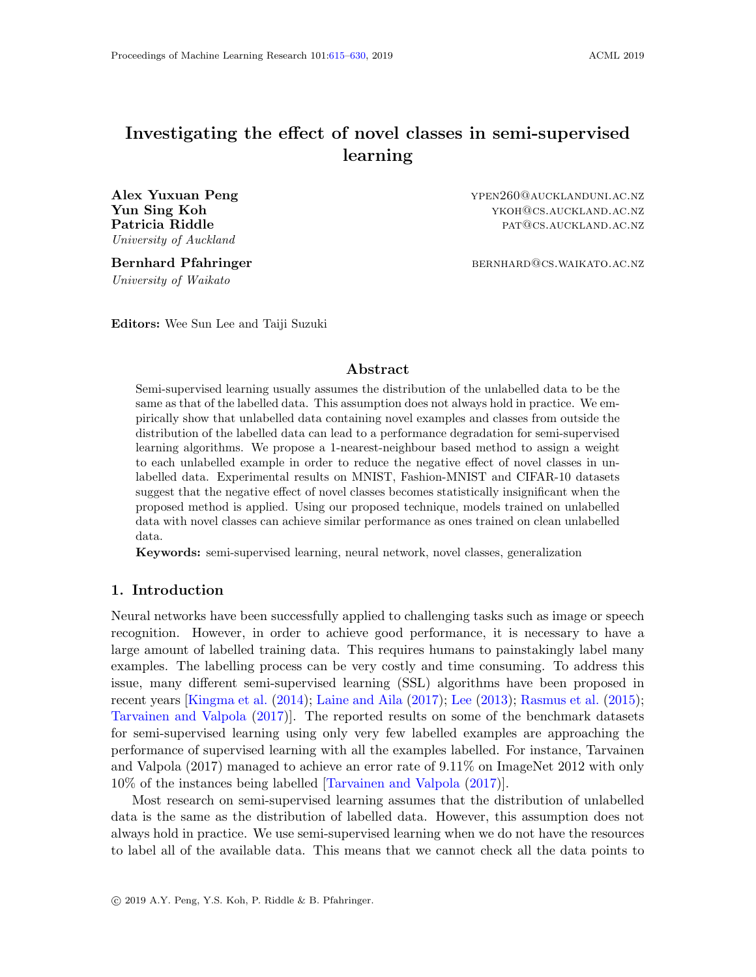# <span id="page-0-0"></span>Investigating the effect of novel classes in semi-supervised learning

Alex Yuxuan Peng **ypen260@AUCKLANDUNI.AC.NZ** University of Auckland

University of Waikato

**Yun Sing Koh** ykoh ykoh@cs.auckland.ac.nz Patricia Riddle **patricia** Riddle patricia **Riddle** patricia **Riddle** patricia **Riddle** patricia **Riddle** patricia **Riddle** patricia **Riddle** patricia **Riddle** patricia **Riddle** patricia **Riddle** patricia **Riddle** patricia

Bernhard Pfahringer bernhard bernhard Desember bernhard bernhard bernhard bernhard bernhard bernhard bernhard b

Editors: Wee Sun Lee and Taiji Suzuki

## Abstract

Semi-supervised learning usually assumes the distribution of the unlabelled data to be the same as that of the labelled data. This assumption does not always hold in practice. We empirically show that unlabelled data containing novel examples and classes from outside the distribution of the labelled data can lead to a performance degradation for semi-supervised learning algorithms. We propose a 1-nearest-neighbour based method to assign a weight to each unlabelled example in order to reduce the negative effect of novel classes in unlabelled data. Experimental results on MNIST, Fashion-MNIST and CIFAR-10 datasets suggest that the negative effect of novel classes becomes statistically insignificant when the proposed method is applied. Using our proposed technique, models trained on unlabelled data with novel classes can achieve similar performance as ones trained on clean unlabelled data.

Keywords: semi-supervised learning, neural network, novel classes, generalization

## 1. Introduction

Neural networks have been successfully applied to challenging tasks such as image or speech recognition. However, in order to achieve good performance, it is necessary to have a large amount of labelled training data. This requires humans to painstakingly label many examples. The labelling process can be very costly and time consuming. To address this issue, many different semi-supervised learning (SSL) algorithms have been proposed in recent years [\[Kingma et al.](#page-14-0) [\(2014\)](#page-14-0); [Laine and Aila](#page-14-1) [\(2017\)](#page-14-1); [Lee](#page-14-2) [\(2013\)](#page-14-2); [Rasmus et al.](#page-15-1) [\(2015\)](#page-15-1); [Tarvainen and Valpola](#page-15-2) [\(2017\)](#page-15-2)]. The reported results on some of the benchmark datasets for semi-supervised learning using only very few labelled examples are approaching the performance of supervised learning with all the examples labelled. For instance, Tarvainen and Valpola (2017) managed to achieve an error rate of 9.11% on ImageNet 2012 with only 10% of the instances being labelled [\[Tarvainen and Valpola](#page-15-2) [\(2017\)](#page-15-2)].

Most research on semi-supervised learning assumes that the distribution of unlabelled data is the same as the distribution of labelled data. However, this assumption does not always hold in practice. We use semi-supervised learning when we do not have the resources to label all of the available data. This means that we cannot check all the data points to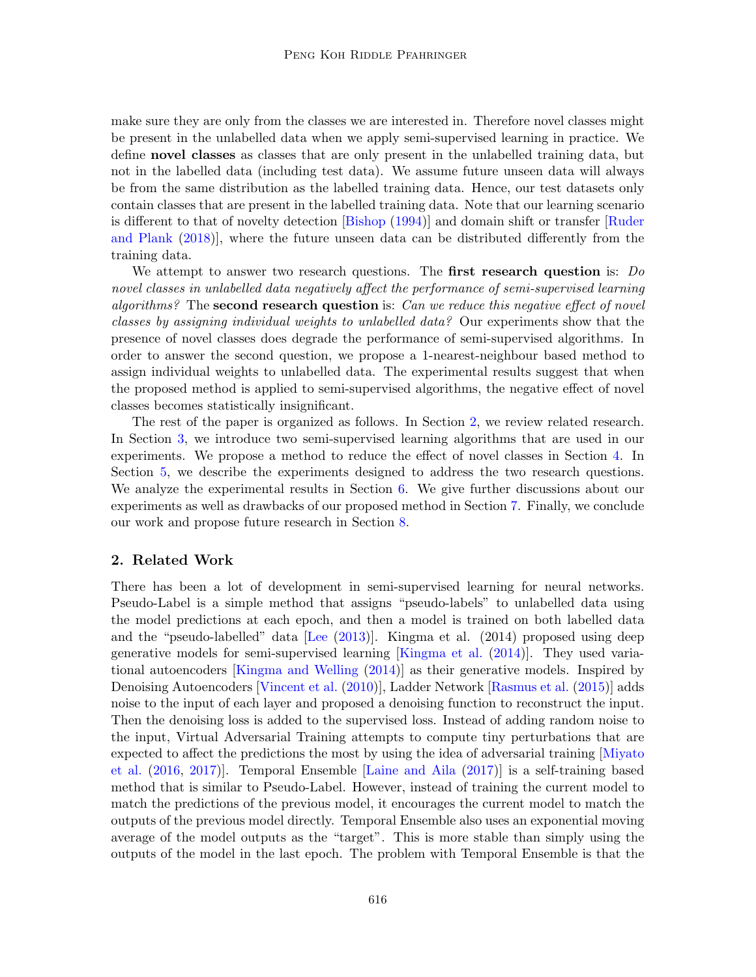make sure they are only from the classes we are interested in. Therefore novel classes might be present in the unlabelled data when we apply semi-supervised learning in practice. We define novel classes as classes that are only present in the unlabelled training data, but not in the labelled data (including test data). We assume future unseen data will always be from the same distribution as the labelled training data. Hence, our test datasets only contain classes that are present in the labelled training data. Note that our learning scenario is different to that of novelty detection [\[Bishop](#page-14-3) [\(1994\)](#page-14-3)] and domain shift or transfer [\[Ruder](#page-15-3) [and Plank](#page-15-3) [\(2018\)](#page-15-3)], where the future unseen data can be distributed differently from the training data.

We attempt to answer two research questions. The first research question is: Do novel classes in unlabelled data negatively affect the performance of semi-supervised learning algorithms? The second research question is: Can we reduce this negative effect of novel classes by assigning individual weights to unlabelled data? Our experiments show that the presence of novel classes does degrade the performance of semi-supervised algorithms. In order to answer the second question, we propose a 1-nearest-neighbour based method to assign individual weights to unlabelled data. The experimental results suggest that when the proposed method is applied to semi-supervised algorithms, the negative effect of novel classes becomes statistically insignificant.

The rest of the paper is organized as follows. In Section [2,](#page-1-0) we review related research. In Section [3,](#page-2-0) we introduce two semi-supervised learning algorithms that are used in our experiments. We propose a method to reduce the effect of novel classes in Section [4.](#page-4-0) In Section [5,](#page-6-0) we describe the experiments designed to address the two research questions. We analyze the experimental results in Section  $6$ . We give further discussions about our experiments as well as drawbacks of our proposed method in Section [7.](#page-11-0) Finally, we conclude our work and propose future research in Section [8.](#page-14-4)

#### <span id="page-1-0"></span>2. Related Work

There has been a lot of development in semi-supervised learning for neural networks. Pseudo-Label is a simple method that assigns "pseudo-labels" to unlabelled data using the model predictions at each epoch, and then a model is trained on both labelled data and the "pseudo-labelled" data [\[Lee](#page-14-2) [\(2013\)](#page-14-2)]. Kingma et al. (2014) proposed using deep generative models for semi-supervised learning [\[Kingma et al.](#page-14-0) [\(2014\)](#page-14-0)]. They used variational autoencoders [\[Kingma and Welling](#page-14-5) [\(2014\)](#page-14-5)] as their generative models. Inspired by Denoising Autoencoders [\[Vincent et al.](#page-15-4) [\(2010\)](#page-15-4)], Ladder Network [\[Rasmus et al.](#page-15-1) [\(2015\)](#page-15-1)] adds noise to the input of each layer and proposed a denoising function to reconstruct the input. Then the denoising loss is added to the supervised loss. Instead of adding random noise to the input, Virtual Adversarial Training attempts to compute tiny perturbations that are expected to affect the predictions the most by using the idea of adversarial training [\[Miyato](#page-15-5) [et al.](#page-15-5) [\(2016,](#page-15-5) [2017\)](#page-15-6)]. Temporal Ensemble [\[Laine and Aila](#page-14-1) [\(2017\)](#page-14-1)] is a self-training based method that is similar to Pseudo-Label. However, instead of training the current model to match the predictions of the previous model, it encourages the current model to match the outputs of the previous model directly. Temporal Ensemble also uses an exponential moving average of the model outputs as the "target". This is more stable than simply using the outputs of the model in the last epoch. The problem with Temporal Ensemble is that the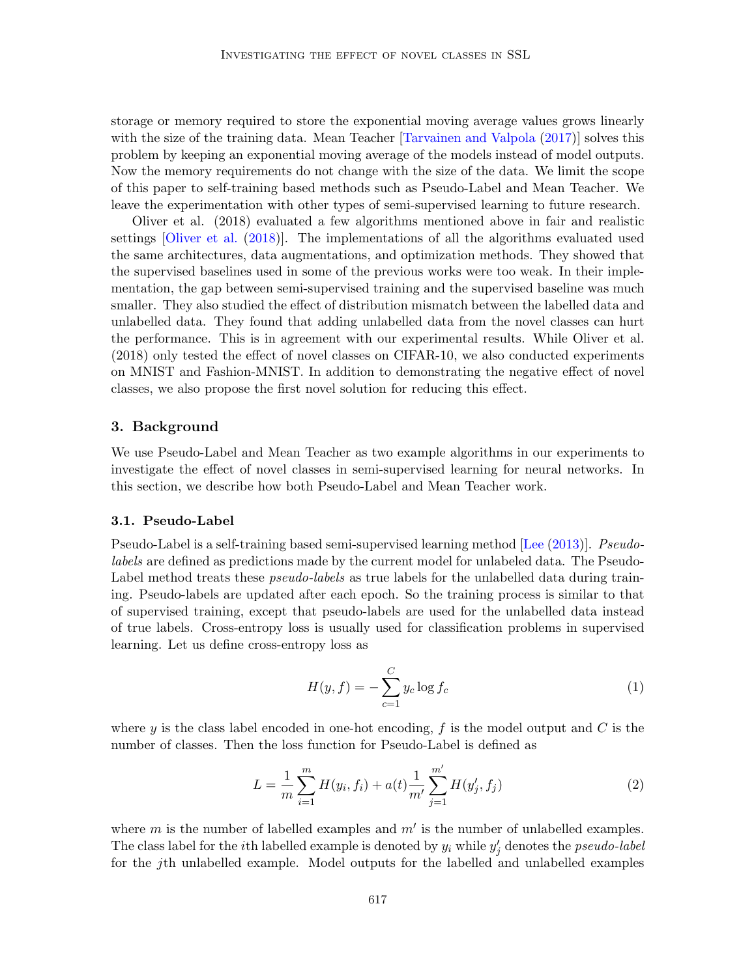storage or memory required to store the exponential moving average values grows linearly with the size of the training data. Mean Teacher [\[Tarvainen and Valpola](#page-15-2) [\(2017\)](#page-15-2)] solves this problem by keeping an exponential moving average of the models instead of model outputs. Now the memory requirements do not change with the size of the data. We limit the scope of this paper to self-training based methods such as Pseudo-Label and Mean Teacher. We leave the experimentation with other types of semi-supervised learning to future research.

Oliver et al. (2018) evaluated a few algorithms mentioned above in fair and realistic settings [\[Oliver et al.](#page-15-7) [\(2018\)](#page-15-7)]. The implementations of all the algorithms evaluated used the same architectures, data augmentations, and optimization methods. They showed that the supervised baselines used in some of the previous works were too weak. In their implementation, the gap between semi-supervised training and the supervised baseline was much smaller. They also studied the effect of distribution mismatch between the labelled data and unlabelled data. They found that adding unlabelled data from the novel classes can hurt the performance. This is in agreement with our experimental results. While Oliver et al. (2018) only tested the effect of novel classes on CIFAR-10, we also conducted experiments on MNIST and Fashion-MNIST. In addition to demonstrating the negative effect of novel classes, we also propose the first novel solution for reducing this effect.

## <span id="page-2-0"></span>3. Background

We use Pseudo-Label and Mean Teacher as two example algorithms in our experiments to investigate the effect of novel classes in semi-supervised learning for neural networks. In this section, we describe how both Pseudo-Label and Mean Teacher work.

#### 3.1. Pseudo-Label

Pseudo-Label is a self-training based semi-supervised learning method [\[Lee](#page-14-2) [\(2013\)](#page-14-2)]. Pseudolabels are defined as predictions made by the current model for unlabeled data. The Pseudo-Label method treats these *pseudo-labels* as true labels for the unlabelled data during training. Pseudo-labels are updated after each epoch. So the training process is similar to that of supervised training, except that pseudo-labels are used for the unlabelled data instead of true labels. Cross-entropy loss is usually used for classification problems in supervised learning. Let us define cross-entropy loss as

$$
H(y, f) = -\sum_{c=1}^{C} y_c \log f_c \tag{1}
$$

where y is the class label encoded in one-hot encoding, f is the model output and C is the number of classes. Then the loss function for Pseudo-Label is defined as

<span id="page-2-1"></span>
$$
L = \frac{1}{m} \sum_{i=1}^{m} H(y_i, f_i) + a(t) \frac{1}{m'} \sum_{j=1}^{m'} H(y'_j, f_j)
$$
 (2)

where  $m$  is the number of labelled examples and  $m'$  is the number of unlabelled examples. The class label for the *i*th labelled example is denoted by  $y_i$  while  $y'_j$  denotes the *pseudo-label* for the jth unlabelled example. Model outputs for the labelled and unlabelled examples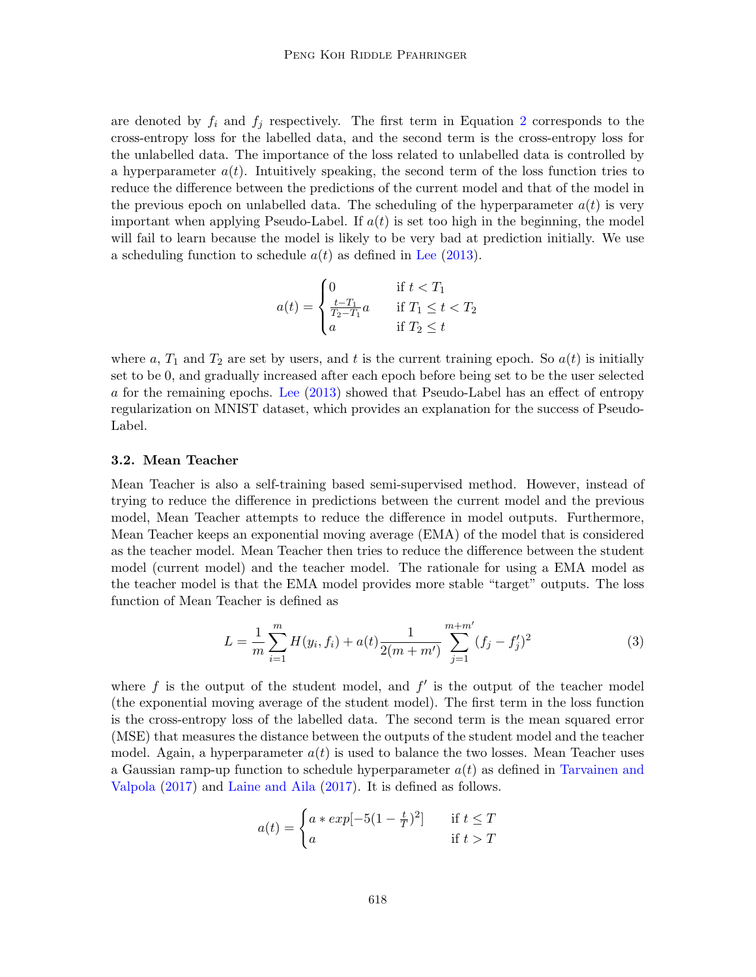are denoted by  $f_i$  and  $f_j$  respectively. The first term in Equation [2](#page-2-1) corresponds to the cross-entropy loss for the labelled data, and the second term is the cross-entropy loss for the unlabelled data. The importance of the loss related to unlabelled data is controlled by a hyperparameter  $a(t)$ . Intuitively speaking, the second term of the loss function tries to reduce the difference between the predictions of the current model and that of the model in the previous epoch on unlabelled data. The scheduling of the hyperparameter  $a(t)$  is very important when applying Pseudo-Label. If  $a(t)$  is set too high in the beginning, the model will fail to learn because the model is likely to be very bad at prediction initially. We use a scheduling function to schedule  $a(t)$  as defined in [Lee](#page-14-2) [\(2013\)](#page-14-2).

$$
a(t) = \begin{cases} 0 & \text{if } t < T_1 \\ \frac{t - T_1}{T_2 - T_1} a & \text{if } T_1 \le t < T_2 \\ a & \text{if } T_2 \le t \end{cases}
$$

where a,  $T_1$  and  $T_2$  are set by users, and t is the current training epoch. So  $a(t)$  is initially set to be 0, and gradually increased after each epoch before being set to be the user selected a for the remaining epochs. [Lee](#page-14-2) [\(2013\)](#page-14-2) showed that Pseudo-Label has an effect of entropy regularization on MNIST dataset, which provides an explanation for the success of Pseudo-Label.

#### 3.2. Mean Teacher

Mean Teacher is also a self-training based semi-supervised method. However, instead of trying to reduce the difference in predictions between the current model and the previous model, Mean Teacher attempts to reduce the difference in model outputs. Furthermore, Mean Teacher keeps an exponential moving average (EMA) of the model that is considered as the teacher model. Mean Teacher then tries to reduce the difference between the student model (current model) and the teacher model. The rationale for using a EMA model as the teacher model is that the EMA model provides more stable "target" outputs. The loss function of Mean Teacher is defined as

$$
L = \frac{1}{m} \sum_{i=1}^{m} H(y_i, f_i) + a(t) \frac{1}{2(m+m')} \sum_{j=1}^{m+m'} (f_j - f'_j)^2
$$
 (3)

where  $f$  is the output of the student model, and  $f'$  is the output of the teacher model (the exponential moving average of the student model). The first term in the loss function is the cross-entropy loss of the labelled data. The second term is the mean squared error (MSE) that measures the distance between the outputs of the student model and the teacher model. Again, a hyperparameter  $a(t)$  is used to balance the two losses. Mean Teacher uses a Gaussian ramp-up function to schedule hyperparameter  $a(t)$  as defined in [Tarvainen and](#page-15-2) [Valpola](#page-15-2) [\(2017\)](#page-15-2) and [Laine and Aila](#page-14-1) [\(2017\)](#page-14-1). It is defined as follows.

$$
a(t) = \begin{cases} a * exp[-5(1 - \frac{t}{T})^2] & \text{if } t \le T \\ a & \text{if } t > T \end{cases}
$$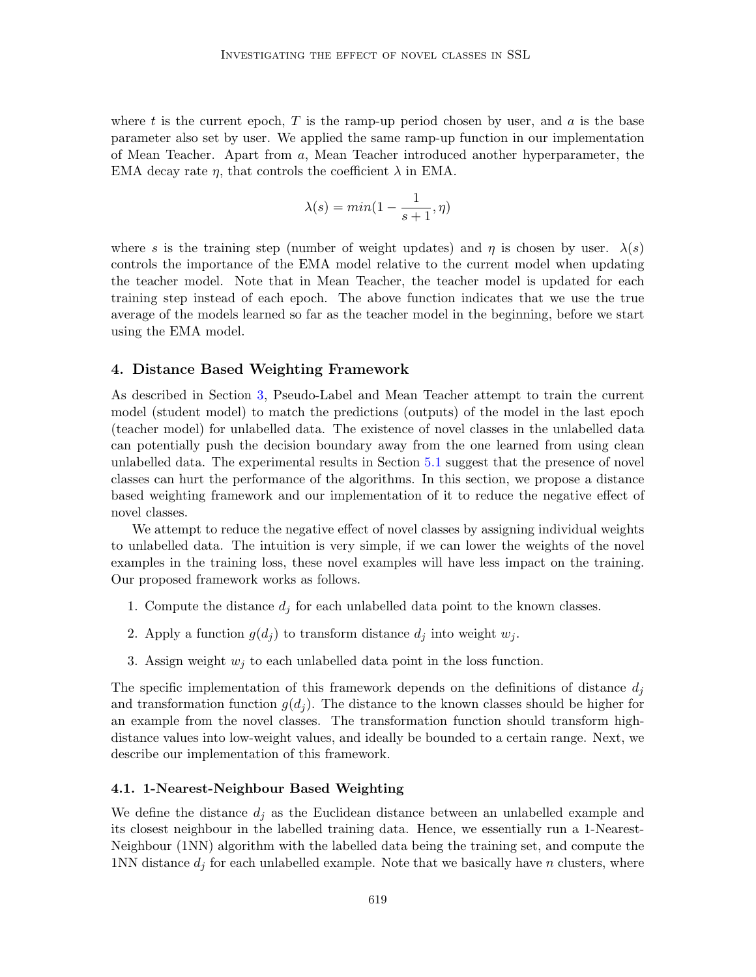where t is the current epoch,  $T$  is the ramp-up period chosen by user, and  $a$  is the base parameter also set by user. We applied the same ramp-up function in our implementation of Mean Teacher. Apart from a, Mean Teacher introduced another hyperparameter, the EMA decay rate  $\eta$ , that controls the coefficient  $\lambda$  in EMA.

$$
\lambda(s) = \min(1 - \frac{1}{s+1}, \eta)
$$

where s is the training step (number of weight updates) and  $\eta$  is chosen by user.  $\lambda(s)$ controls the importance of the EMA model relative to the current model when updating the teacher model. Note that in Mean Teacher, the teacher model is updated for each training step instead of each epoch. The above function indicates that we use the true average of the models learned so far as the teacher model in the beginning, before we start using the EMA model.

## <span id="page-4-0"></span>4. Distance Based Weighting Framework

As described in Section [3,](#page-2-0) Pseudo-Label and Mean Teacher attempt to train the current model (student model) to match the predictions (outputs) of the model in the last epoch (teacher model) for unlabelled data. The existence of novel classes in the unlabelled data can potentially push the decision boundary away from the one learned from using clean unlabelled data. The experimental results in Section [5.1](#page-6-1) suggest that the presence of novel classes can hurt the performance of the algorithms. In this section, we propose a distance based weighting framework and our implementation of it to reduce the negative effect of novel classes.

We attempt to reduce the negative effect of novel classes by assigning individual weights to unlabelled data. The intuition is very simple, if we can lower the weights of the novel examples in the training loss, these novel examples will have less impact on the training. Our proposed framework works as follows.

- 1. Compute the distance  $d_i$  for each unlabelled data point to the known classes.
- 2. Apply a function  $g(d_j)$  to transform distance  $d_j$  into weight  $w_j$ .
- 3. Assign weight  $w_i$  to each unlabelled data point in the loss function.

The specific implementation of this framework depends on the definitions of distance  $d_i$ and transformation function  $g(d_i)$ . The distance to the known classes should be higher for an example from the novel classes. The transformation function should transform highdistance values into low-weight values, and ideally be bounded to a certain range. Next, we describe our implementation of this framework.

#### 4.1. 1-Nearest-Neighbour Based Weighting

We define the distance  $d_i$  as the Euclidean distance between an unlabelled example and its closest neighbour in the labelled training data. Hence, we essentially run a 1-Nearest-Neighbour (1NN) algorithm with the labelled data being the training set, and compute the 1NN distance  $d_i$  for each unlabelled example. Note that we basically have n clusters, where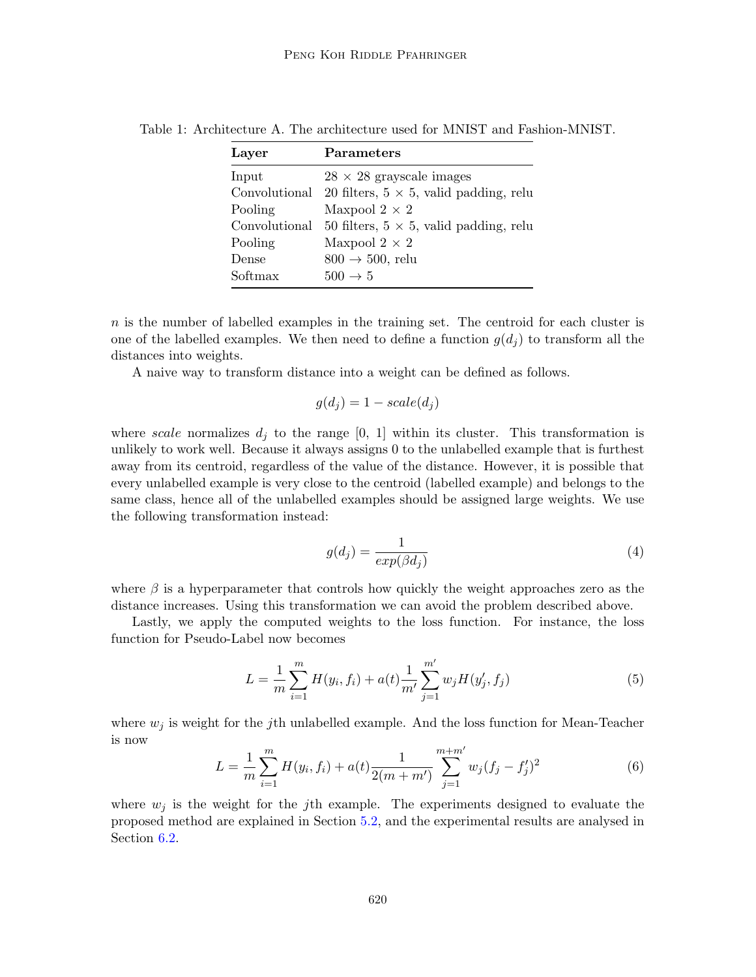<span id="page-5-0"></span>

| Layer         | Parameters                                     |
|---------------|------------------------------------------------|
| Input         | $28 \times 28$ grayscale images                |
| Convolutional | 20 filters, $5 \times 5$ , valid padding, relu |
| Pooling       | Maxpool $2 \times 2$                           |
| Convolutional | 50 filters, $5 \times 5$ , valid padding, relu |
| Pooling       | Maxpool $2 \times 2$                           |
| Dense         | $800 \rightarrow 500$ , relu                   |
| Softmax       | $500 \rightarrow 5$                            |

Table 1: Architecture A. The architecture used for MNIST and Fashion-MNIST.

n is the number of labelled examples in the training set. The centroid for each cluster is one of the labelled examples. We then need to define a function  $g(d_i)$  to transform all the distances into weights.

A naive way to transform distance into a weight can be defined as follows.

$$
g(d_j) = 1 - scale(d_j)
$$

where scale normalizes  $d_j$  to the range [0, 1] within its cluster. This transformation is unlikely to work well. Because it always assigns 0 to the unlabelled example that is furthest away from its centroid, regardless of the value of the distance. However, it is possible that every unlabelled example is very close to the centroid (labelled example) and belongs to the same class, hence all of the unlabelled examples should be assigned large weights. We use the following transformation instead:

$$
g(d_j) = \frac{1}{exp(\beta d_j)}
$$
\n(4)

where  $\beta$  is a hyperparameter that controls how quickly the weight approaches zero as the distance increases. Using this transformation we can avoid the problem described above.

Lastly, we apply the computed weights to the loss function. For instance, the loss function for Pseudo-Label now becomes

$$
L = \frac{1}{m} \sum_{i=1}^{m} H(y_i, f_i) + a(t) \frac{1}{m'} \sum_{j=1}^{m'} w_j H(y'_j, f_j)
$$
(5)

where  $w_j$  is weight for the jth unlabelled example. And the loss function for Mean-Teacher is now

$$
L = \frac{1}{m} \sum_{i=1}^{m} H(y_i, f_i) + a(t) \frac{1}{2(m+m')} \sum_{j=1}^{m+m'} w_j (f_j - f'_j)^2
$$
(6)

where  $w_i$  is the weight for the jth example. The experiments designed to evaluate the proposed method are explained in Section [5.2,](#page-8-1) and the experimental results are analysed in Section [6.2.](#page-10-0)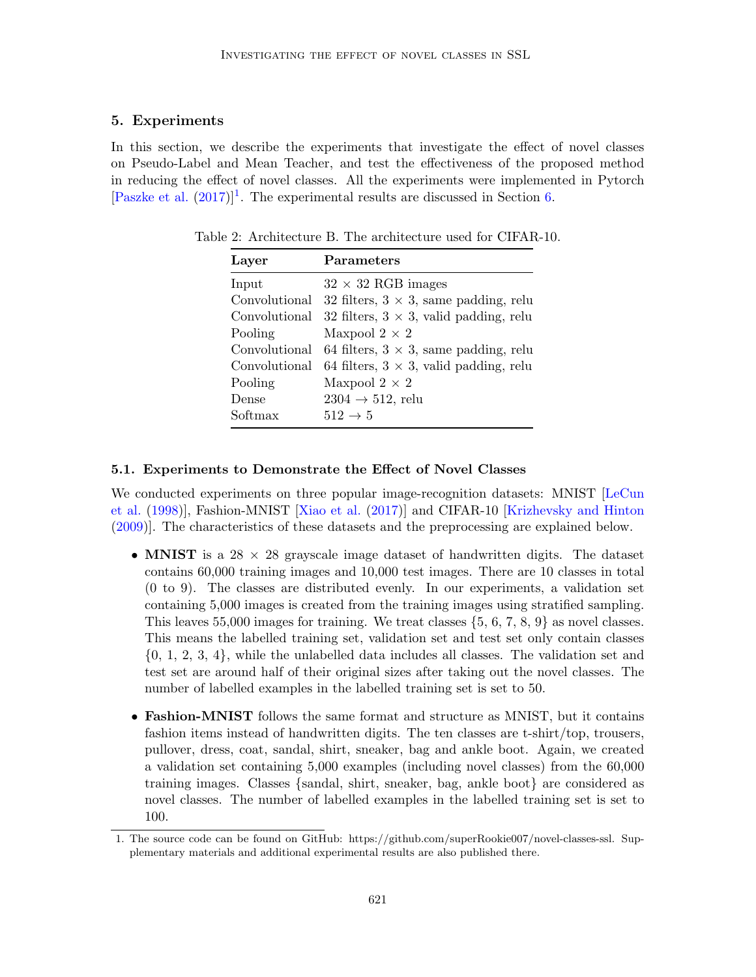## <span id="page-6-0"></span>5. Experiments

In this section, we describe the experiments that investigate the effect of novel classes on Pseudo-Label and Mean Teacher, and test the effectiveness of the proposed method in reducing the effect of novel classes. All the experiments were implemented in Pytorch [\[Paszke et al.](#page-15-8)  $(2017)$ ]<sup>[1](#page-6-2)</sup>. The experimental results are discussed in Section [6.](#page-8-0)

<span id="page-6-3"></span>

| Layer         | <b>Parameters</b>                              |
|---------------|------------------------------------------------|
| Input         | $32 \times 32$ RGB images                      |
| Convolutional | 32 filters, $3 \times 3$ , same padding, relu  |
| Convolutional | 32 filters, $3 \times 3$ , valid padding, relu |
| Pooling       | Maxpool $2 \times 2$                           |
| Convolutional | 64 filters, $3 \times 3$ , same padding, relu  |
| Convolutional | 64 filters, $3 \times 3$ , valid padding, relu |
| Pooling       | Maxpool $2 \times 2$                           |
| Dense         | $2304 \rightarrow 512$ , relu                  |
| Softmax       | $512 \rightarrow 5$                            |

Table 2: Architecture B. The architecture used for CIFAR-10.

#### <span id="page-6-1"></span>5.1. Experiments to Demonstrate the Effect of Novel Classes

We conducted experiments on three popular image-recognition datasets: MNIST [\[LeCun](#page-14-6) [et al.](#page-14-6) [\(1998\)](#page-14-6)], Fashion-MNIST [\[Xiao et al.](#page-15-9) [\(2017\)](#page-15-9)] and CIFAR-10 [\[Krizhevsky and Hinton](#page-14-7) [\(2009\)](#page-14-7)]. The characteristics of these datasets and the preprocessing are explained below.

- MNIST is a 28  $\times$  28 grayscale image dataset of handwritten digits. The dataset contains 60,000 training images and 10,000 test images. There are 10 classes in total (0 to 9). The classes are distributed evenly. In our experiments, a validation set containing 5,000 images is created from the training images using stratified sampling. This leaves 55,000 images for training. We treat classes  $\{5, 6, 7, 8, 9\}$  as novel classes. This means the labelled training set, validation set and test set only contain classes {0, 1, 2, 3, 4}, while the unlabelled data includes all classes. The validation set and test set are around half of their original sizes after taking out the novel classes. The number of labelled examples in the labelled training set is set to 50.
- Fashion-MNIST follows the same format and structure as MNIST, but it contains fashion items instead of handwritten digits. The ten classes are t-shirt/top, trousers, pullover, dress, coat, sandal, shirt, sneaker, bag and ankle boot. Again, we created a validation set containing 5,000 examples (including novel classes) from the 60,000 training images. Classes {sandal, shirt, sneaker, bag, ankle boot} are considered as novel classes. The number of labelled examples in the labelled training set is set to 100.

<span id="page-6-2"></span><sup>1.</sup> The source code can be found on GitHub: https://github.com/superRookie007/novel-classes-ssl. Supplementary materials and additional experimental results are also published there.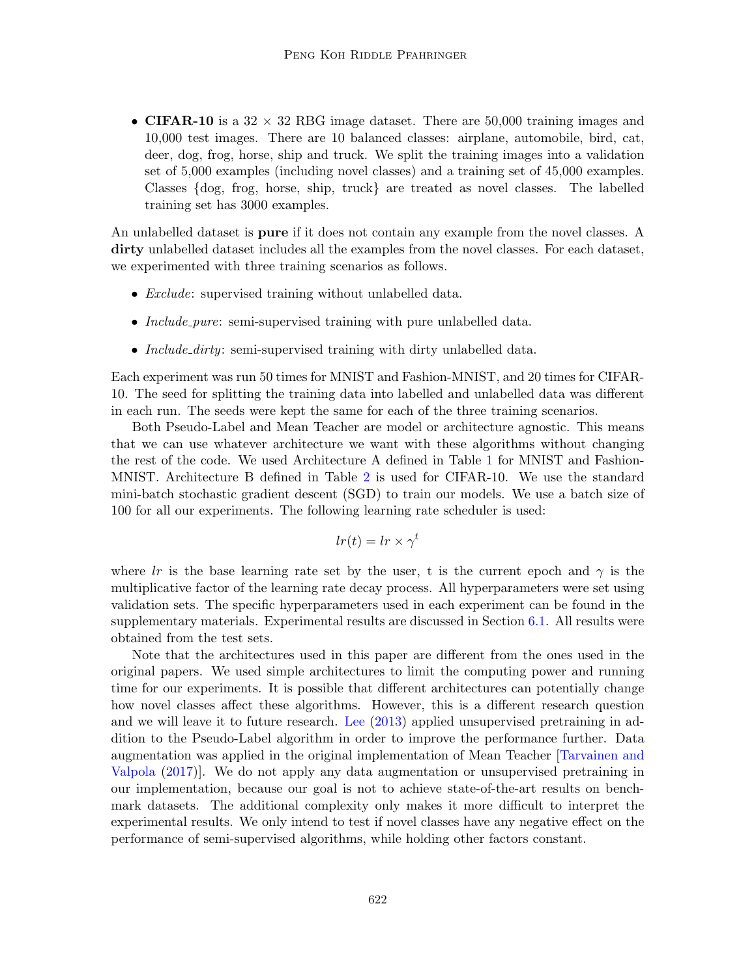• CIFAR-10 is a  $32 \times 32$  RBG image dataset. There are 50,000 training images and 10,000 test images. There are 10 balanced classes: airplane, automobile, bird, cat, deer, dog, frog, horse, ship and truck. We split the training images into a validation set of 5,000 examples (including novel classes) and a training set of 45,000 examples. Classes {dog, frog, horse, ship, truck} are treated as novel classes. The labelled training set has 3000 examples.

An unlabelled dataset is **pure** if it does not contain any example from the novel classes. A dirty unlabelled dataset includes all the examples from the novel classes. For each dataset, we experimented with three training scenarios as follows.

- *Exclude:* supervised training without unlabelled data.
- *Include\_pure*: semi-supervised training with pure unlabelled data.
- *Include\_dirty*: semi-supervised training with dirty unlabelled data.

Each experiment was run 50 times for MNIST and Fashion-MNIST, and 20 times for CIFAR-10. The seed for splitting the training data into labelled and unlabelled data was different in each run. The seeds were kept the same for each of the three training scenarios.

Both Pseudo-Label and Mean Teacher are model or architecture agnostic. This means that we can use whatever architecture we want with these algorithms without changing the rest of the code. We used Architecture A defined in Table [1](#page-5-0) for MNIST and Fashion-MNIST. Architecture B defined in Table [2](#page-6-3) is used for CIFAR-10. We use the standard mini-batch stochastic gradient descent (SGD) to train our models. We use a batch size of 100 for all our experiments. The following learning rate scheduler is used:

$$
lr(t) = lr \times \gamma^t
$$

where lr is the base learning rate set by the user, t is the current epoch and  $\gamma$  is the multiplicative factor of the learning rate decay process. All hyperparameters were set using validation sets. The specific hyperparameters used in each experiment can be found in the supplementary materials. Experimental results are discussed in Section [6.1.](#page-9-0) All results were obtained from the test sets.

Note that the architectures used in this paper are different from the ones used in the original papers. We used simple architectures to limit the computing power and running time for our experiments. It is possible that different architectures can potentially change how novel classes affect these algorithms. However, this is a different research question and we will leave it to future research. [Lee](#page-14-2) [\(2013\)](#page-14-2) applied unsupervised pretraining in addition to the Pseudo-Label algorithm in order to improve the performance further. Data augmentation was applied in the original implementation of Mean Teacher [\[Tarvainen and](#page-15-2) [Valpola](#page-15-2) [\(2017\)](#page-15-2)]. We do not apply any data augmentation or unsupervised pretraining in our implementation, because our goal is not to achieve state-of-the-art results on benchmark datasets. The additional complexity only makes it more difficult to interpret the experimental results. We only intend to test if novel classes have any negative effect on the performance of semi-supervised algorithms, while holding other factors constant.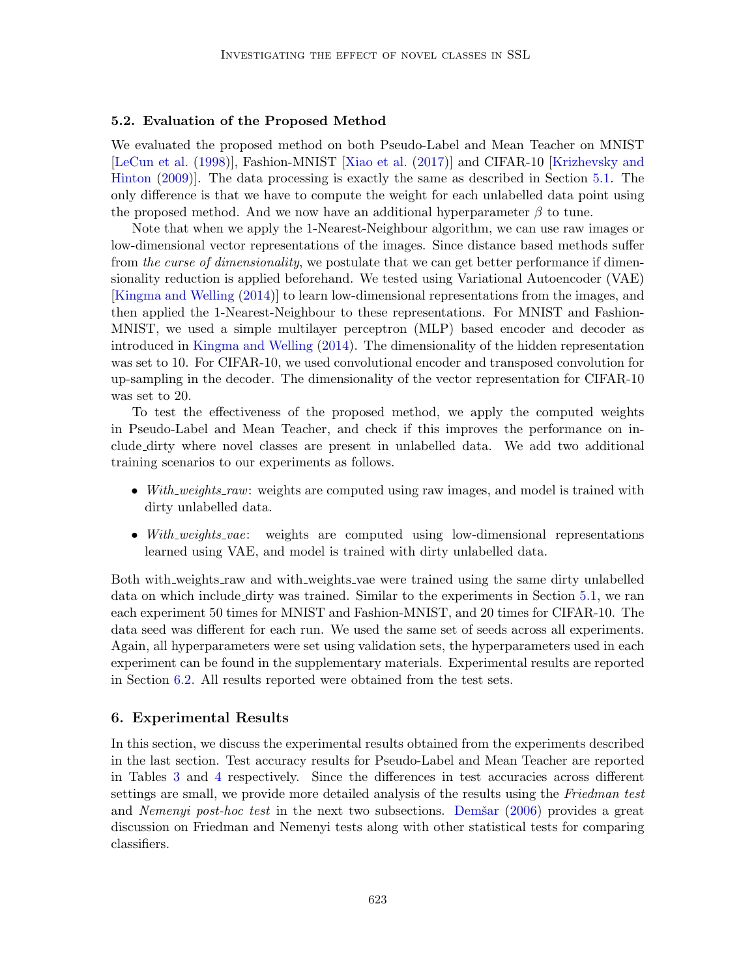#### <span id="page-8-1"></span>5.2. Evaluation of the Proposed Method

We evaluated the proposed method on both Pseudo-Label and Mean Teacher on MNIST [\[LeCun et al.](#page-14-6) [\(1998\)](#page-14-6)], Fashion-MNIST [\[Xiao et al.](#page-15-9) [\(2017\)](#page-15-9)] and CIFAR-10 [\[Krizhevsky and](#page-14-7) [Hinton](#page-14-7) [\(2009\)](#page-14-7)]. The data processing is exactly the same as described in Section [5.1.](#page-6-1) The only difference is that we have to compute the weight for each unlabelled data point using the proposed method. And we now have an additional hyperparameter  $\beta$  to tune.

Note that when we apply the 1-Nearest-Neighbour algorithm, we can use raw images or low-dimensional vector representations of the images. Since distance based methods suffer from the curse of dimensionality, we postulate that we can get better performance if dimensionality reduction is applied beforehand. We tested using Variational Autoencoder (VAE) [\[Kingma and Welling](#page-14-5) [\(2014\)](#page-14-5)] to learn low-dimensional representations from the images, and then applied the 1-Nearest-Neighbour to these representations. For MNIST and Fashion-MNIST, we used a simple multilayer perceptron (MLP) based encoder and decoder as introduced in [Kingma and Welling](#page-14-5) [\(2014\)](#page-14-5). The dimensionality of the hidden representation was set to 10. For CIFAR-10, we used convolutional encoder and transposed convolution for up-sampling in the decoder. The dimensionality of the vector representation for CIFAR-10 was set to 20.

To test the effectiveness of the proposed method, we apply the computed weights in Pseudo-Label and Mean Teacher, and check if this improves the performance on include dirty where novel classes are present in unlabelled data. We add two additional training scenarios to our experiments as follows.

- With weights raw: weights are computed using raw images, and model is trained with dirty unlabelled data.
- With weights vae: weights are computed using low-dimensional representations learned using VAE, and model is trained with dirty unlabelled data.

Both with weights raw and with weights vae were trained using the same dirty unlabelled data on which include dirty was trained. Similar to the experiments in Section [5.1,](#page-6-1) we ran each experiment 50 times for MNIST and Fashion-MNIST, and 20 times for CIFAR-10. The data seed was different for each run. We used the same set of seeds across all experiments. Again, all hyperparameters were set using validation sets, the hyperparameters used in each experiment can be found in the supplementary materials. Experimental results are reported in Section [6.2.](#page-10-0) All results reported were obtained from the test sets.

## <span id="page-8-0"></span>6. Experimental Results

In this section, we discuss the experimental results obtained from the experiments described in the last section. Test accuracy results for Pseudo-Label and Mean Teacher are reported in Tables [3](#page-9-1) and [4](#page-9-2) respectively. Since the differences in test accuracies across different settings are small, we provide more detailed analysis of the results using the Friedman test and *Nemenyi post-hoc test* in the next two subsections. Dem $\tilde{s}$ ar [\(2006\)](#page-14-8) provides a great discussion on Friedman and Nemenyi tests along with other statistical tests for comparing classifiers.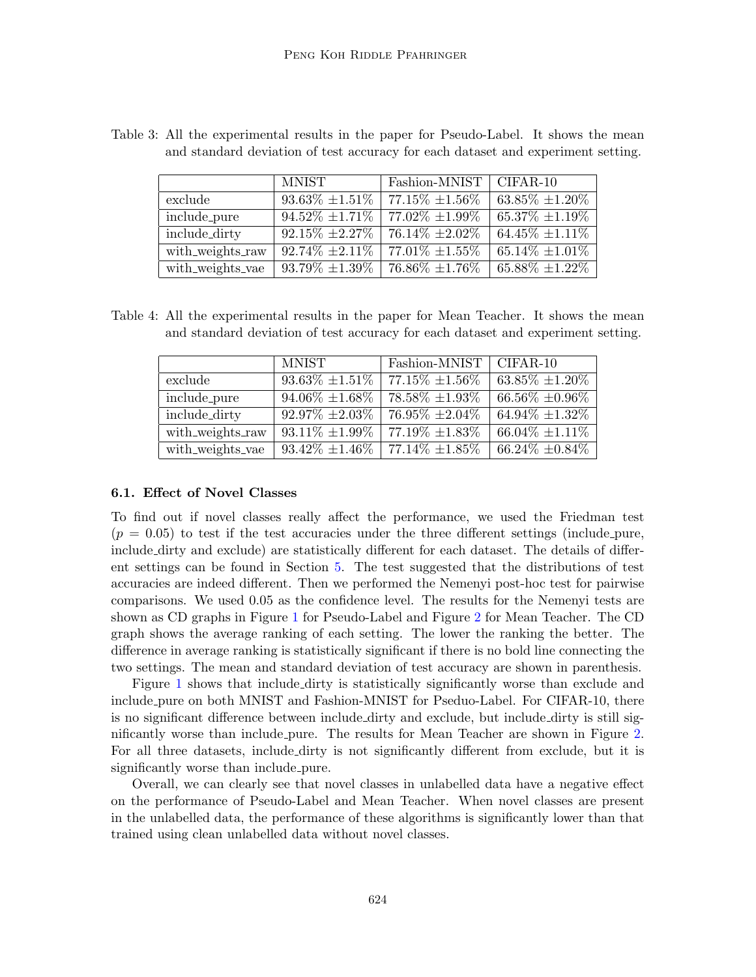|                  | <b>MNIST</b>         | Fashion-MNIST                 | $CIFAR-10$               |
|------------------|----------------------|-------------------------------|--------------------------|
| exclude          | $93.63\% \pm 1.51\%$ | $77.15\% \pm 1.56\%$          | $63.85\% \pm 1.20\%$     |
| include_pure     | $94.52\% \pm 1.71\%$ | $\overline{77.02\%}$ ±1.99%   | $\sqrt{65.37\%}$ ±1.19\% |
| include_dirty    | $92.15\% \pm 2.27\%$ | $\overline{76.14\%}$ ± 2.02\% | $64.45\% \pm 1.11\%$     |
| with_weights_raw | $92.74\% \pm 2.11\%$ | $77.01\% \pm 1.55\%$          | $65.14\% \pm 1.01\%$     |
| with_weights_vae | $93.79\% \pm 1.39\%$ | $76.86\% \pm 1.76\%$          | $65.88\% \pm 1.22\%$     |

<span id="page-9-1"></span>Table 3: All the experimental results in the paper for Pseudo-Label. It shows the mean and standard deviation of test accuracy for each dataset and experiment setting.

<span id="page-9-2"></span>Table 4: All the experimental results in the paper for Mean Teacher. It shows the mean and standard deviation of test accuracy for each dataset and experiment setting.

|                  | <b>MNIST</b>         | Fashion-MNIST        | $CIFAR-10$           |
|------------------|----------------------|----------------------|----------------------|
| exclude          | $93.63\% \pm 1.51\%$ | $77.15\% \pm 1.56\%$ | $63.85\% \pm 1.20\%$ |
| include_pure     | $94.06\% \pm 1.68\%$ | $78.58\% \pm 1.93\%$ | $66.56\% \pm 0.96\%$ |
| include_dirty    | $92.97\% \pm 2.03\%$ | $76.95\% \pm 2.04\%$ | $64.94\% \pm 1.32\%$ |
| with_weights_raw | $93.11\% \pm 1.99\%$ | 77.19% ±1.83%        | $66.04\% \pm 1.11\%$ |
| with_weights_vae | $93.42\% \pm 1.46\%$ | $77.14\% \pm 1.85\%$ | $66.24\% \pm 0.84\%$ |

#### <span id="page-9-0"></span>6.1. Effect of Novel Classes

To find out if novel classes really affect the performance, we used the Friedman test  $(p = 0.05)$  to test if the test accuracies under the three different settings (include pure, include dirty and exclude) are statistically different for each dataset. The details of different settings can be found in Section [5.](#page-6-0) The test suggested that the distributions of test accuracies are indeed different. Then we performed the Nemenyi post-hoc test for pairwise comparisons. We used 0.05 as the confidence level. The results for the Nemenyi tests are shown as CD graphs in Figure [1](#page-10-1) for Pseudo-Label and Figure [2](#page-11-1) for Mean Teacher. The CD graph shows the average ranking of each setting. The lower the ranking the better. The difference in average ranking is statistically significant if there is no bold line connecting the two settings. The mean and standard deviation of test accuracy are shown in parenthesis.

Figure [1](#page-10-1) shows that include dirty is statistically significantly worse than exclude and include pure on both MNIST and Fashion-MNIST for Pseduo-Label. For CIFAR-10, there is no significant difference between include dirty and exclude, but include dirty is still significantly worse than include pure. The results for Mean Teacher are shown in Figure [2.](#page-11-1) For all three datasets, include dirty is not significantly different from exclude, but it is significantly worse than include pure.

Overall, we can clearly see that novel classes in unlabelled data have a negative effect on the performance of Pseudo-Label and Mean Teacher. When novel classes are present in the unlabelled data, the performance of these algorithms is significantly lower than that trained using clean unlabelled data without novel classes.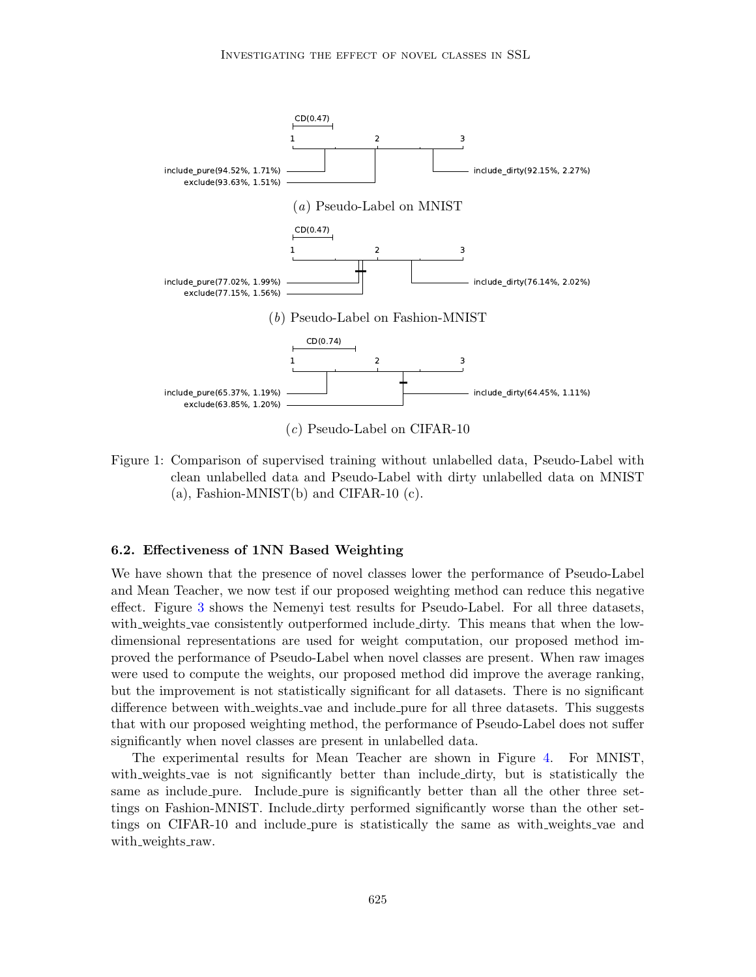

(c) Pseudo-Label on CIFAR-10

<span id="page-10-1"></span>Figure 1: Comparison of supervised training without unlabelled data, Pseudo-Label with clean unlabelled data and Pseudo-Label with dirty unlabelled data on MNIST  $(a)$ , Fashion-MNIST $(b)$  and CIFAR-10  $(c)$ .

#### <span id="page-10-0"></span>6.2. Effectiveness of 1NN Based Weighting

We have shown that the presence of novel classes lower the performance of Pseudo-Label and Mean Teacher, we now test if our proposed weighting method can reduce this negative effect. Figure [3](#page-12-0) shows the Nemenyi test results for Pseudo-Label. For all three datasets, with weights vae consistently outperformed include dirty. This means that when the lowdimensional representations are used for weight computation, our proposed method improved the performance of Pseudo-Label when novel classes are present. When raw images were used to compute the weights, our proposed method did improve the average ranking, but the improvement is not statistically significant for all datasets. There is no significant difference between with weights vae and include pure for all three datasets. This suggests that with our proposed weighting method, the performance of Pseudo-Label does not suffer significantly when novel classes are present in unlabelled data.

The experimental results for Mean Teacher are shown in Figure [4.](#page-13-0) For MNIST, with weights vae is not significantly better than include dirty, but is statistically the same as include pure. Include pure is significantly better than all the other three settings on Fashion-MNIST. Include dirty performed significantly worse than the other settings on CIFAR-10 and include pure is statistically the same as with weights vae and with\_weights\_raw.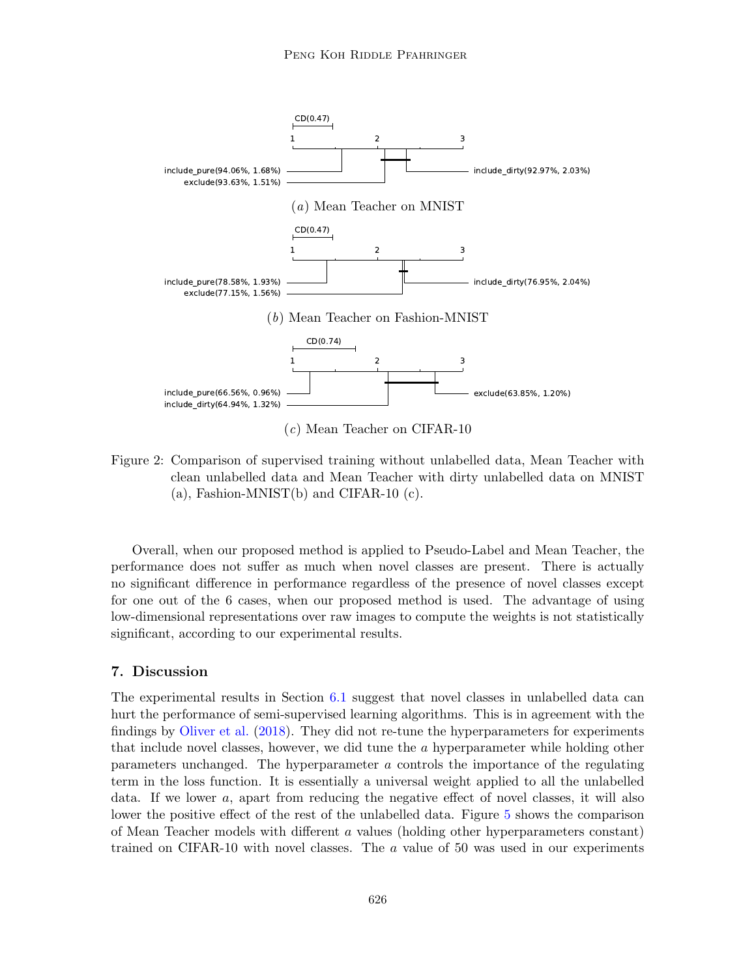

(c) Mean Teacher on CIFAR-10

<span id="page-11-1"></span>Figure 2: Comparison of supervised training without unlabelled data, Mean Teacher with clean unlabelled data and Mean Teacher with dirty unlabelled data on MNIST  $(a)$ , Fashion-MNIST $(b)$  and CIFAR-10  $(c)$ .

Overall, when our proposed method is applied to Pseudo-Label and Mean Teacher, the performance does not suffer as much when novel classes are present. There is actually no significant difference in performance regardless of the presence of novel classes except for one out of the 6 cases, when our proposed method is used. The advantage of using low-dimensional representations over raw images to compute the weights is not statistically significant, according to our experimental results.

## <span id="page-11-0"></span>7. Discussion

The experimental results in Section [6.1](#page-9-0) suggest that novel classes in unlabelled data can hurt the performance of semi-supervised learning algorithms. This is in agreement with the findings by [Oliver et al.](#page-15-7) [\(2018\)](#page-15-7). They did not re-tune the hyperparameters for experiments that include novel classes, however, we did tune the a hyperparameter while holding other parameters unchanged. The hyperparameter a controls the importance of the regulating term in the loss function. It is essentially a universal weight applied to all the unlabelled data. If we lower a, apart from reducing the negative effect of novel classes, it will also lower the positive effect of the rest of the unlabelled data. Figure [5](#page-13-1) shows the comparison of Mean Teacher models with different a values (holding other hyperparameters constant) trained on CIFAR-10 with novel classes. The  $a$  value of 50 was used in our experiments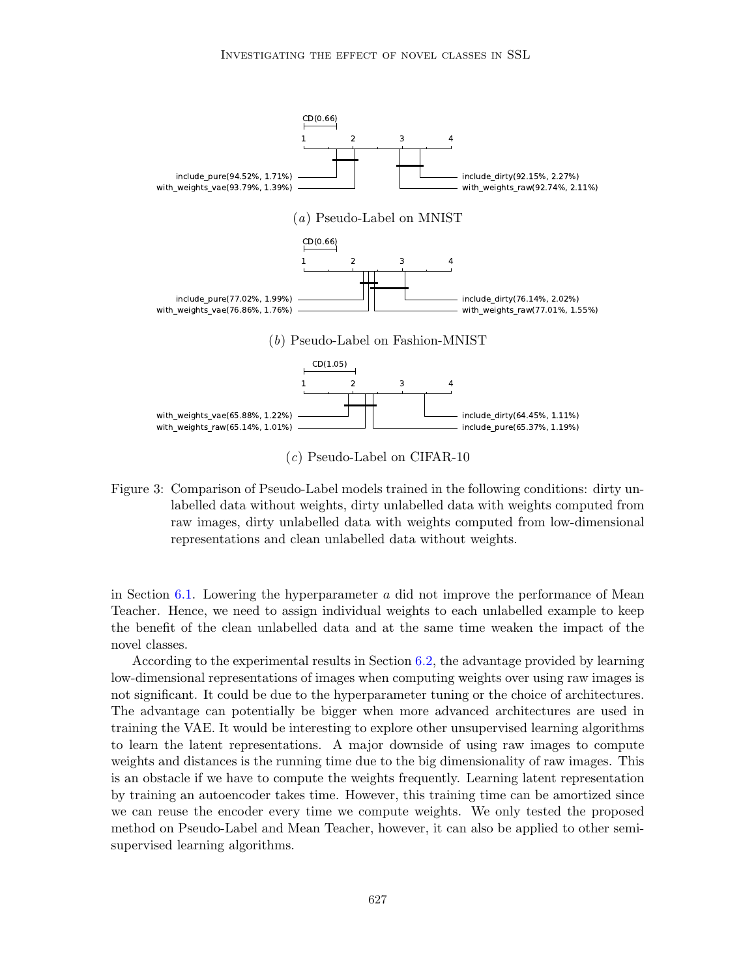

(c) Pseudo-Label on CIFAR-10

<span id="page-12-0"></span>Figure 3: Comparison of Pseudo-Label models trained in the following conditions: dirty unlabelled data without weights, dirty unlabelled data with weights computed from raw images, dirty unlabelled data with weights computed from low-dimensional representations and clean unlabelled data without weights.

in Section [6.1.](#page-9-0) Lowering the hyperparameter  $a$  did not improve the performance of Mean Teacher. Hence, we need to assign individual weights to each unlabelled example to keep the benefit of the clean unlabelled data and at the same time weaken the impact of the novel classes.

According to the experimental results in Section [6.2,](#page-10-0) the advantage provided by learning low-dimensional representations of images when computing weights over using raw images is not significant. It could be due to the hyperparameter tuning or the choice of architectures. The advantage can potentially be bigger when more advanced architectures are used in training the VAE. It would be interesting to explore other unsupervised learning algorithms to learn the latent representations. A major downside of using raw images to compute weights and distances is the running time due to the big dimensionality of raw images. This is an obstacle if we have to compute the weights frequently. Learning latent representation by training an autoencoder takes time. However, this training time can be amortized since we can reuse the encoder every time we compute weights. We only tested the proposed method on Pseudo-Label and Mean Teacher, however, it can also be applied to other semisupervised learning algorithms.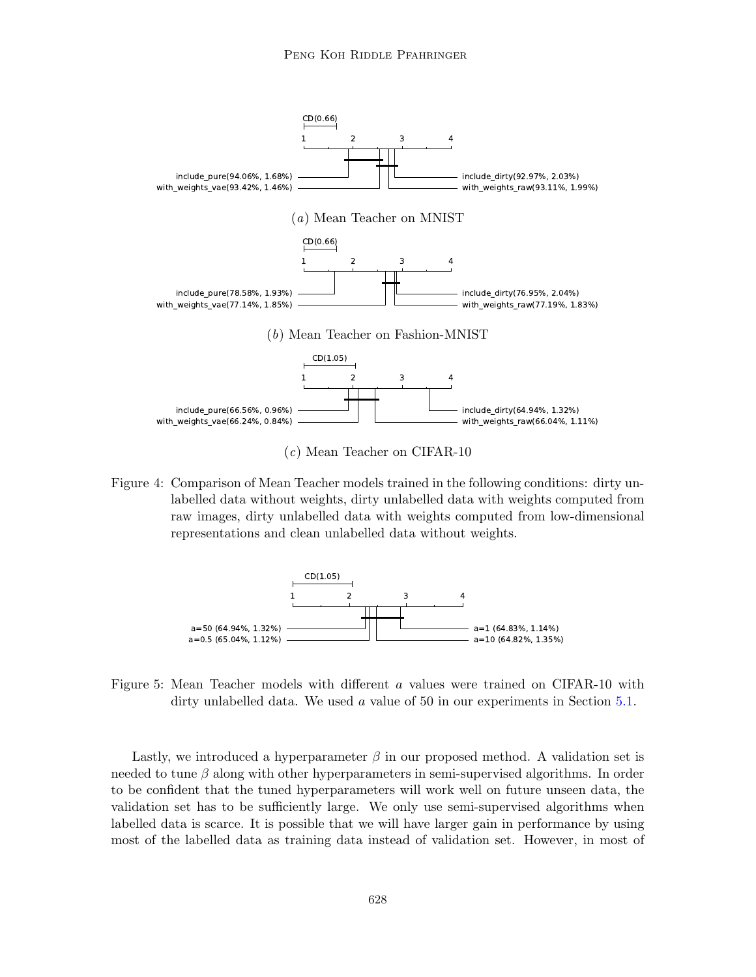

(c) Mean Teacher on CIFAR-10

<span id="page-13-0"></span>Figure 4: Comparison of Mean Teacher models trained in the following conditions: dirty unlabelled data without weights, dirty unlabelled data with weights computed from raw images, dirty unlabelled data with weights computed from low-dimensional representations and clean unlabelled data without weights.



<span id="page-13-1"></span>Figure 5: Mean Teacher models with different a values were trained on CIFAR-10 with dirty unlabelled data. We used a value of 50 in our experiments in Section [5.1.](#page-6-1)

Lastly, we introduced a hyperparameter  $\beta$  in our proposed method. A validation set is needed to tune  $\beta$  along with other hyperparameters in semi-supervised algorithms. In order to be confident that the tuned hyperparameters will work well on future unseen data, the validation set has to be sufficiently large. We only use semi-supervised algorithms when labelled data is scarce. It is possible that we will have larger gain in performance by using most of the labelled data as training data instead of validation set. However, in most of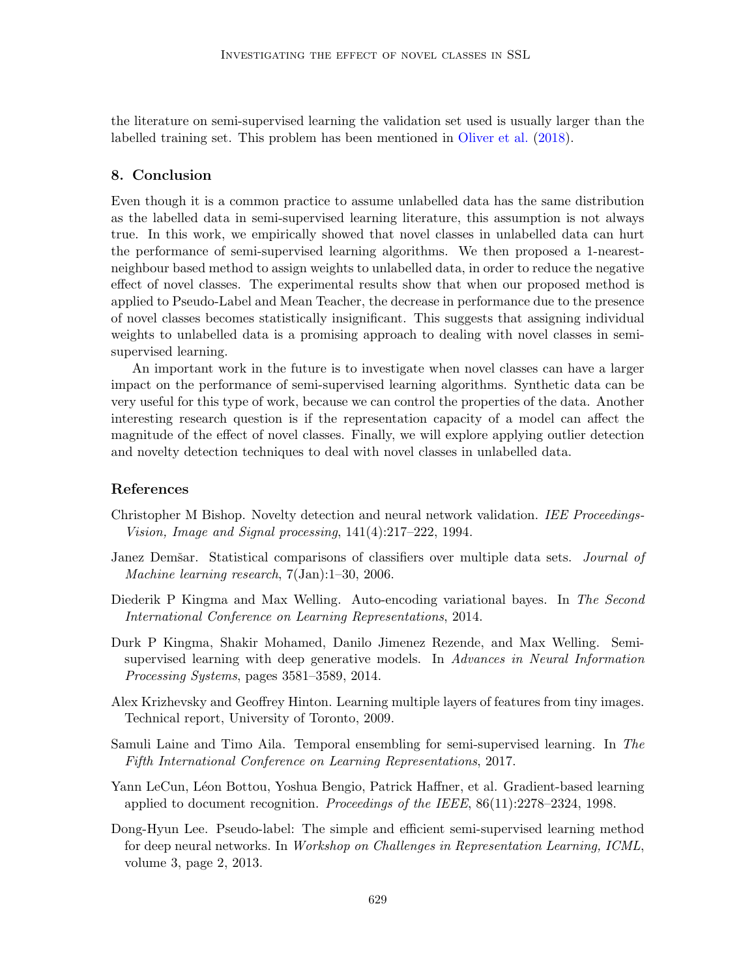the literature on semi-supervised learning the validation set used is usually larger than the labelled training set. This problem has been mentioned in [Oliver et al.](#page-15-7) [\(2018\)](#page-15-7).

#### <span id="page-14-4"></span>8. Conclusion

Even though it is a common practice to assume unlabelled data has the same distribution as the labelled data in semi-supervised learning literature, this assumption is not always true. In this work, we empirically showed that novel classes in unlabelled data can hurt the performance of semi-supervised learning algorithms. We then proposed a 1-nearestneighbour based method to assign weights to unlabelled data, in order to reduce the negative effect of novel classes. The experimental results show that when our proposed method is applied to Pseudo-Label and Mean Teacher, the decrease in performance due to the presence of novel classes becomes statistically insignificant. This suggests that assigning individual weights to unlabelled data is a promising approach to dealing with novel classes in semisupervised learning.

An important work in the future is to investigate when novel classes can have a larger impact on the performance of semi-supervised learning algorithms. Synthetic data can be very useful for this type of work, because we can control the properties of the data. Another interesting research question is if the representation capacity of a model can affect the magnitude of the effect of novel classes. Finally, we will explore applying outlier detection and novelty detection techniques to deal with novel classes in unlabelled data.

## References

- <span id="page-14-3"></span>Christopher M Bishop. Novelty detection and neural network validation. IEE Proceedings-Vision, Image and Signal processing, 141(4):217–222, 1994.
- <span id="page-14-8"></span>Janez Demšar. Statistical comparisons of classifiers over multiple data sets. *Journal of* Machine learning research, 7(Jan):1–30, 2006.
- <span id="page-14-5"></span>Diederik P Kingma and Max Welling. Auto-encoding variational bayes. In The Second International Conference on Learning Representations, 2014.
- <span id="page-14-0"></span>Durk P Kingma, Shakir Mohamed, Danilo Jimenez Rezende, and Max Welling. Semisupervised learning with deep generative models. In Advances in Neural Information Processing Systems, pages 3581–3589, 2014.
- <span id="page-14-7"></span>Alex Krizhevsky and Geoffrey Hinton. Learning multiple layers of features from tiny images. Technical report, University of Toronto, 2009.
- <span id="page-14-1"></span>Samuli Laine and Timo Aila. Temporal ensembling for semi-supervised learning. In The Fifth International Conference on Learning Representations, 2017.
- <span id="page-14-6"></span>Yann LeCun, Léon Bottou, Yoshua Bengio, Patrick Haffner, et al. Gradient-based learning applied to document recognition. Proceedings of the IEEE, 86(11):2278–2324, 1998.
- <span id="page-14-2"></span>Dong-Hyun Lee. Pseudo-label: The simple and efficient semi-supervised learning method for deep neural networks. In Workshop on Challenges in Representation Learning, ICML, volume 3, page 2, 2013.